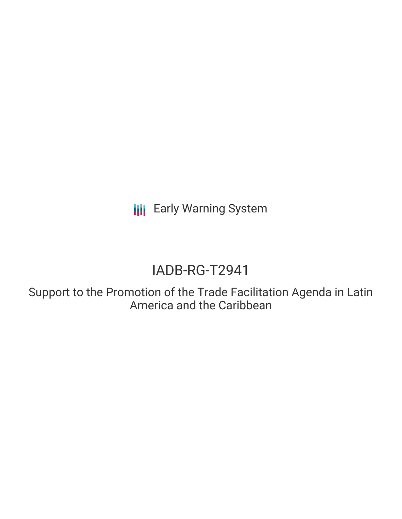**III** Early Warning System

# IADB-RG-T2941

Support to the Promotion of the Trade Facilitation Agenda in Latin America and the Caribbean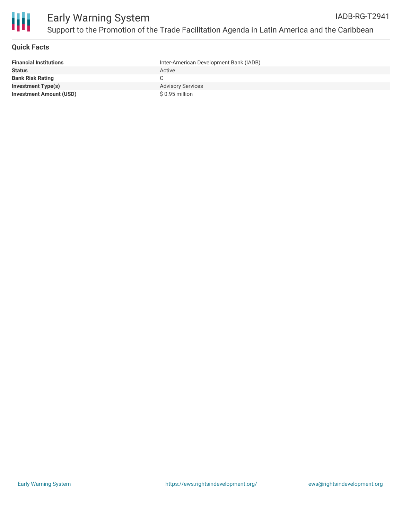

#### **Quick Facts**

| <b>Financial Institutions</b>  | Inter-American Development Bank (IADB) |
|--------------------------------|----------------------------------------|
| Status                         | Active                                 |
| Bank Risk Rating               |                                        |
| Investment Type(s)             | <b>Advisory Services</b>               |
| <b>Investment Amount (USD)</b> | $$0.95$ million                        |
|                                |                                        |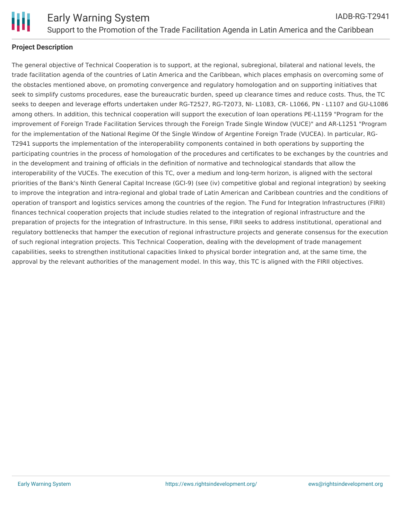

### **Project Description**

The general objective of Technical Cooperation is to support, at the regional, subregional, bilateral and national levels, the trade facilitation agenda of the countries of Latin America and the Caribbean, which places emphasis on overcoming some of the obstacles mentioned above, on promoting convergence and regulatory homologation and on supporting initiatives that seek to simplify customs procedures, ease the bureaucratic burden, speed up clearance times and reduce costs. Thus, the TC seeks to deepen and leverage efforts undertaken under RG-T2527, RG-T2073, NI- L1083, CR- L1066, PN - L1107 and GU-L1086 among others. In addition, this technical cooperation will support the execution of loan operations PE-L1159 "Program for the improvement of Foreign Trade Facilitation Services through the Foreign Trade Single Window (VUCE)" and AR-L1251 "Program for the implementation of the National Regime Of the Single Window of Argentine Foreign Trade (VUCEA). In particular, RG-T2941 supports the implementation of the interoperability components contained in both operations by supporting the participating countries in the process of homologation of the procedures and certificates to be exchanges by the countries and in the development and training of officials in the definition of normative and technological standards that allow the interoperability of the VUCEs. The execution of this TC, over a medium and long-term horizon, is aligned with the sectoral priorities of the Bank's Ninth General Capital Increase (GCI-9) (see (iv) competitive global and regional integration) by seeking to improve the integration and intra-regional and global trade of Latin American and Caribbean countries and the conditions of operation of transport and logistics services among the countries of the region. The Fund for Integration Infrastructures (FIRII) finances technical cooperation projects that include studies related to the integration of regional infrastructure and the preparation of projects for the integration of Infrastructure. In this sense, FIRII seeks to address institutional, operational and regulatory bottlenecks that hamper the execution of regional infrastructure projects and generate consensus for the execution of such regional integration projects. This Technical Cooperation, dealing with the development of trade management capabilities, seeks to strengthen institutional capacities linked to physical border integration and, at the same time, the approval by the relevant authorities of the management model. In this way, this TC is aligned with the FIRII objectives.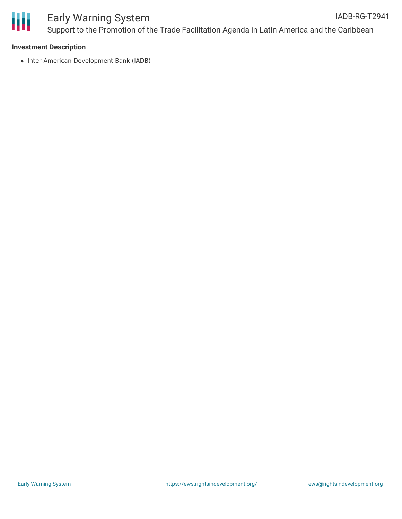

#### **Investment Description**

• Inter-American Development Bank (IADB)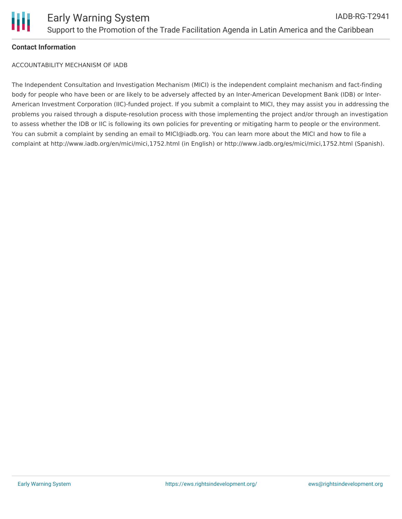

#### **Contact Information**

ACCOUNTABILITY MECHANISM OF IADB

The Independent Consultation and Investigation Mechanism (MICI) is the independent complaint mechanism and fact-finding body for people who have been or are likely to be adversely affected by an Inter-American Development Bank (IDB) or Inter-American Investment Corporation (IIC)-funded project. If you submit a complaint to MICI, they may assist you in addressing the problems you raised through a dispute-resolution process with those implementing the project and/or through an investigation to assess whether the IDB or IIC is following its own policies for preventing or mitigating harm to people or the environment. You can submit a complaint by sending an email to MICI@iadb.org. You can learn more about the MICI and how to file a complaint at http://www.iadb.org/en/mici/mici,1752.html (in English) or http://www.iadb.org/es/mici/mici,1752.html (Spanish).